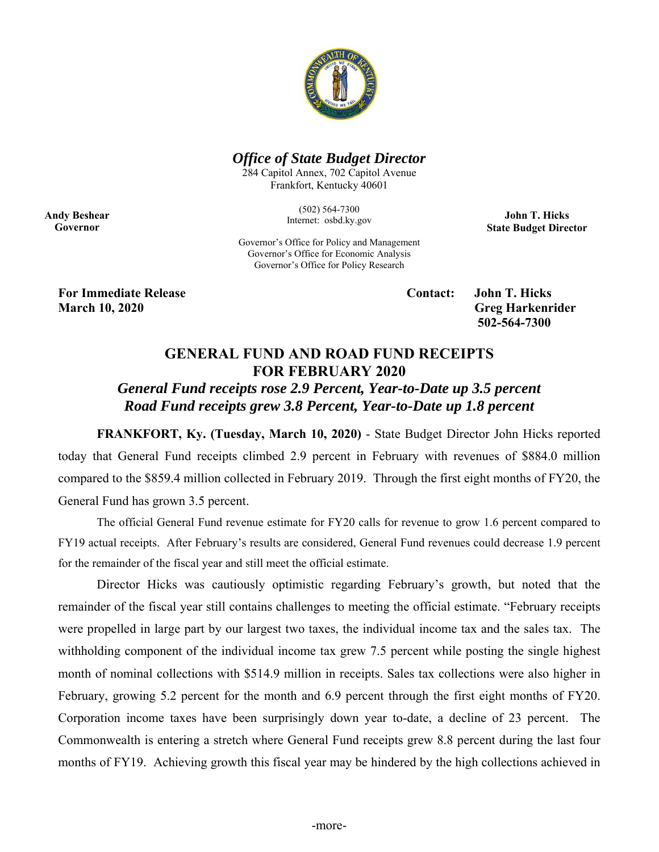

### *Office of State Budget Director*

284 Capitol Annex, 702 Capitol Avenue Frankfort, Kentucky 40601

> (502) 564-7300 Internet: osbd.ky.gov

**John T. Hicks State Budget Director** 

Governor's Office for Policy and Management Governor's Office for Economic Analysis Governor's Office for Policy Research

**For Immediate Release Contact: John T. Hicks March 10, 2020** Greg Harkenrider

**Andy Beshear Governor** 

 **502-564-7300** 

# **GENERAL FUND AND ROAD FUND RECEIPTS FOR FEBRUARY 2020**

## *General Fund receipts rose 2.9 Percent, Year-to-Date up 3.5 percent Road Fund receipts grew 3.8 Percent, Year-to-Date up 1.8 percent*

**FRANKFORT, Ky. (Tuesday, March 10, 2020)** - State Budget Director John Hicks reported today that General Fund receipts climbed 2.9 percent in February with revenues of \$884.0 million compared to the \$859.4 million collected in February 2019. Through the first eight months of FY20, the General Fund has grown 3.5 percent.

The official General Fund revenue estimate for FY20 calls for revenue to grow 1.6 percent compared to FY19 actual receipts. After February's results are considered, General Fund revenues could decrease 1.9 percent for the remainder of the fiscal year and still meet the official estimate.

Director Hicks was cautiously optimistic regarding February's growth, but noted that the remainder of the fiscal year still contains challenges to meeting the official estimate. "February receipts were propelled in large part by our largest two taxes, the individual income tax and the sales tax. The withholding component of the individual income tax grew 7.5 percent while posting the single highest month of nominal collections with \$514.9 million in receipts. Sales tax collections were also higher in February, growing 5.2 percent for the month and 6.9 percent through the first eight months of FY20. Corporation income taxes have been surprisingly down year to-date, a decline of 23 percent. The Commonwealth is entering a stretch where General Fund receipts grew 8.8 percent during the last four months of FY19. Achieving growth this fiscal year may be hindered by the high collections achieved in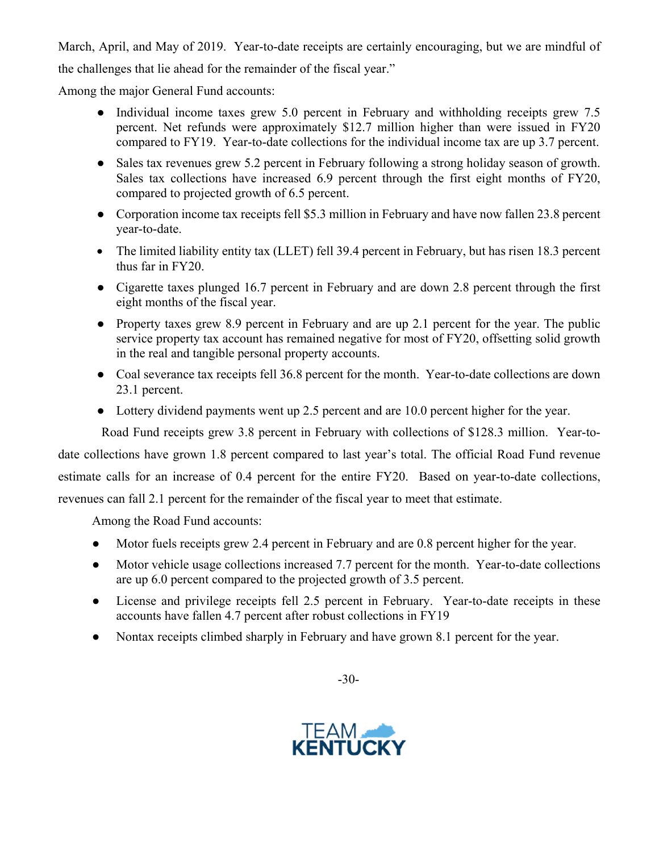March, April, and May of 2019. Year-to-date receipts are certainly encouraging, but we are mindful of the challenges that lie ahead for the remainder of the fiscal year."

Among the major General Fund accounts:

- Individual income taxes grew 5.0 percent in February and withholding receipts grew 7.5 percent. Net refunds were approximately \$12.7 million higher than were issued in FY20 compared to FY19. Year-to-date collections for the individual income tax are up 3.7 percent.
- Sales tax revenues grew 5.2 percent in February following a strong holiday season of growth. Sales tax collections have increased 6.9 percent through the first eight months of FY20, compared to projected growth of 6.5 percent.
- Corporation income tax receipts fell \$5.3 million in February and have now fallen 23.8 percent year-to-date.
- The limited liability entity tax (LLET) fell 39.4 percent in February, but has risen 18.3 percent thus far in FY20.
- Cigarette taxes plunged 16.7 percent in February and are down 2.8 percent through the first eight months of the fiscal year.
- Property taxes grew 8.9 percent in February and are up 2.1 percent for the year. The public service property tax account has remained negative for most of FY20, offsetting solid growth in the real and tangible personal property accounts.
- Coal severance tax receipts fell 36.8 percent for the month. Year-to-date collections are down 23.1 percent.
- Lottery dividend payments went up 2.5 percent and are 10.0 percent higher for the year.

Road Fund receipts grew 3.8 percent in February with collections of \$128.3 million. Year-to-

date collections have grown 1.8 percent compared to last year's total. The official Road Fund revenue

estimate calls for an increase of 0.4 percent for the entire FY20. Based on year-to-date collections,

revenues can fall 2.1 percent for the remainder of the fiscal year to meet that estimate.

Among the Road Fund accounts:

- Motor fuels receipts grew 2.4 percent in February and are 0.8 percent higher for the year.
- Motor vehicle usage collections increased 7.7 percent for the month. Year-to-date collections are up 6.0 percent compared to the projected growth of 3.5 percent.
- License and privilege receipts fell 2.5 percent in February. Year-to-date receipts in these accounts have fallen 4.7 percent after robust collections in FY19
- Nontax receipts climbed sharply in February and have grown 8.1 percent for the year.



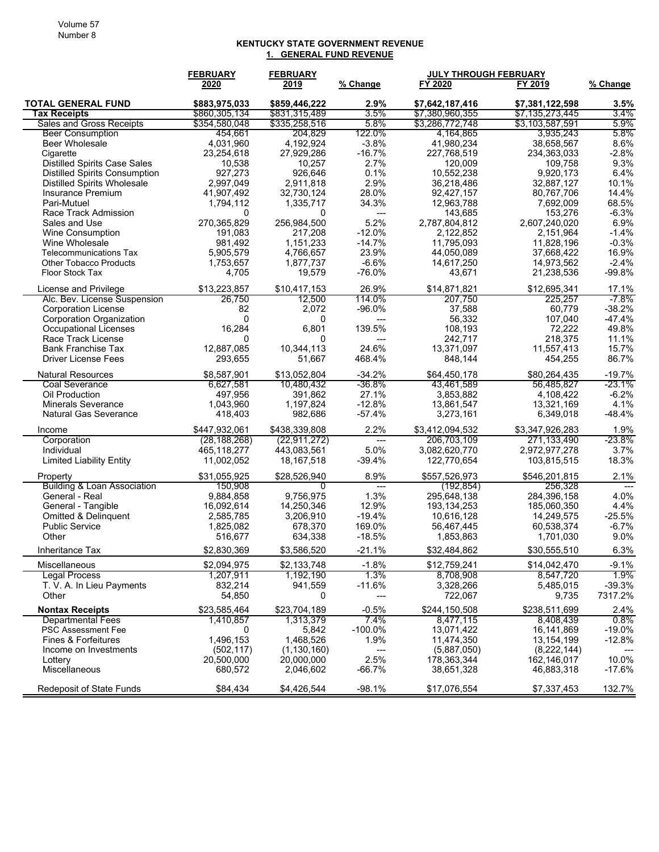#### **KENTUCKY STATE GOVERNMENT REVENUE 1. GENERAL FUND REVENUE**

|                                           | <b>FEBRUARY</b>      | <b>FEBRUARY</b>        |                                  | <b>JULY THROUGH FEBRUARY</b> |                          |                 |
|-------------------------------------------|----------------------|------------------------|----------------------------------|------------------------------|--------------------------|-----------------|
|                                           | 2020                 | 2019                   | % Change                         | FY 2020                      | FY 2019                  | % Change        |
| <b>TOTAL GENERAL FUND</b>                 | \$883,975,033        | \$859,446,222          | 2.9%                             | \$7,642,187,416              | \$7,381,122,598          | 3.5%            |
| Tax Receipts                              | \$860,305,134        | \$831,315,489          | 3.5%                             | \$7,380,960,355              | \$7,135,273,445          | 3.4%            |
| <b>Sales and Gross Receipts</b>           | \$354,580,048        | \$335,258,516          | 5.8%                             | \$3,286,772,748              | \$3,103,587,591          | 5.9%            |
| <b>Beer Consumption</b>                   | 454,661              | 204,829                | 122.0%                           | 4,164,865                    | 3,935,243                | 5.8%            |
| <b>Beer Wholesale</b>                     | 4,031,960            | 4,192,924              | $-3.8%$                          | 41.980.234                   | 38,658,567               | 8.6%            |
| Cigarette                                 | 23,254,618           | 27,929,286             | $-16.7%$                         | 227,768,519                  | 234,363,033              | $-2.8%$         |
| <b>Distilled Spirits Case Sales</b>       | 10,538               | 10,257                 | 2.7%                             | 120,009                      | 109,758                  | 9.3%            |
| <b>Distilled Spirits Consumption</b>      | 927,273              | 926,646                | 0.1%                             | 10,552,238                   | 9,920,173                | 6.4%            |
| <b>Distilled Spirits Wholesale</b>        | 2,997,049            | 2,911,818              | 2.9%                             | 36,218,486                   | 32,887,127               | 10.1%           |
| Insurance Premium                         | 41,907,492           | 32,730,124             | 28.0%                            | 92,427,157                   | 80,767,706               | 14.4%           |
| Pari-Mutuel                               | 1,794,112            | 1,335,717              | 34.3%                            | 12,963,788                   | 7,692,009                | 68.5%           |
| Race Track Admission                      | 0                    | $\Omega$               | $\overline{\phantom{a}}$<br>5.2% | 143,685                      | 153,276                  | $-6.3%$         |
| Sales and Use                             | 270,365,829          | 256,984,500            | $-12.0%$                         | 2,787,804,812                | 2,607,240,020            | 6.9%<br>$-1.4%$ |
| <b>Wine Consumption</b><br>Wine Wholesale | 191,083              | 217,208                | $-14.7%$                         | 2,122,852<br>11,795,093      | 2,151,964                | $-0.3%$         |
| <b>Telecommunications Tax</b>             | 981,492<br>5,905,579 | 1,151,233<br>4,766,657 | 23.9%                            | 44,050,089                   | 11,828,196<br>37,668,422 | 16.9%           |
| <b>Other Tobacco Products</b>             | 1,753,657            | 1,877,737              | $-6.6%$                          | 14,617,250                   | 14,973,562               | $-2.4%$         |
| Floor Stock Tax                           | 4,705                | 19,579                 | $-76.0%$                         | 43,671                       | 21,238,536               | $-99.8%$        |
|                                           |                      |                        |                                  |                              |                          |                 |
| License and Privilege                     | \$13,223,857         | \$10,417,153           | 26.9%                            | \$14,871,821                 | \$12.695.341             | 17.1%           |
| Alc. Bev. License Suspension              | 26,750               | 12,500                 | 114.0%                           | 207,750                      | 225,257                  | -7.8%           |
| <b>Corporation License</b>                | 82                   | 2,072                  | $-96.0%$                         | 37,588                       | 60,779                   | $-38.2%$        |
| <b>Corporation Organization</b>           | $\Omega$             | $\mathbf{0}$           | ---                              | 56,332                       | 107,040                  | $-47.4%$        |
| Occupational Licenses                     | 16,284               | 6,801                  | 139.5%                           | 108,193                      | 72,222                   | 49.8%           |
| Race Track License                        | 0                    | $\Omega$               | $---$                            | 242,717                      | 218,375                  | 11.1%           |
| <b>Bank Franchise Tax</b>                 | 12,887,085           | 10.344.113             | 24.6%                            | 13.371.097                   | 11,557,413               | 15.7%           |
| <b>Driver License Fees</b>                | 293,655              | 51,667                 | 468.4%                           | 848,144                      | 454,255                  | 86.7%           |
| <b>Natural Resources</b>                  | \$8,587,901          | \$13,052,804           | $-34.2%$                         | \$64.450.178                 | \$80,264,435             | $-19.7%$        |
| <b>Coal Severance</b>                     | 6,627,581            | 10,480,432             | $-36.8\%$                        | 43,461,589                   | 56,485,827               | -23.1%          |
| Oil Production                            | 497,956              | 391,862                | 27.1%                            | 3,853,882                    | 4,108,422                | $-6.2%$         |
| <b>Minerals Severance</b>                 | 1,043,960            | 1,197,824              | $-12.8%$                         | 13,861,547                   | 13,321,169               | 4.1%            |
| <b>Natural Gas Severance</b>              | 418,403              | 982,686                | $-57.4%$                         | 3,273,161                    | 6,349,018                | $-48.4%$        |
| Income                                    | \$447,932,061        | \$438,339,808          | 2.2%                             | \$3,412,094,532              | \$3,347,926,283          | 1.9%            |
| Corporation                               | (28, 188, 268)       | (22, 911, 272)         | $---$                            | 206,703,109                  | 271,133,490              | $-23.8%$        |
| Individual                                | 465,118,277          | 443,083,561            | 5.0%                             | 3,082,620,770                | 2,972,977,278            | 3.7%            |
| <b>Limited Liability Entity</b>           | 11,002,052           | 18, 167, 518           | $-39.4%$                         | 122,770,654                  | 103,815,515              | 18.3%           |
| Property                                  | \$31,055,925         | \$28,526,940           | 8.9%                             | \$557,526,973                | \$546,201,815            | 2.1%            |
| <b>Building &amp; Loan Association</b>    | 150,908              | 0                      | $\overline{\phantom{a}}$         | (192, 854)                   | 256,328                  | $---$           |
| General - Real                            | 9,884,858            | 9,756,975              | 1.3%                             | 295,648,138                  | 284,396,158              | 4.0%            |
| General - Tangible                        | 16,092,614           | 14,250,346             | 12.9%                            | 193, 134, 253                | 185,060,350              | 4.4%            |
| Omitted & Delinquent                      | 2,585,785            | 3,206,910              | $-19.4%$                         | 10,616,128                   | 14,249,575               | $-25.5%$        |
| <b>Public Service</b>                     | 1,825,082            | 678,370                | 169.0%                           | 56,467,445                   | 60,538,374               | $-6.7%$         |
| Other                                     | 516,677              | 634,338                | $-18.5%$                         | 1,853,863                    | 1,701,030                | 9.0%            |
| Inheritance Tax                           | \$2,830,369          | \$3,586,520            | $-21.1%$                         | \$32,484,862                 | \$30,555,510             | 6.3%            |
| Miscellaneous                             | \$2,094,975          | \$2,133,748            | $-1.8%$                          | \$12,759,241                 | \$14,042,470             | -9.1%           |
| <b>Legal Process</b>                      | 1,207,911            | 1,192,190              | 1.3%                             | 8,708,908                    | 8,547,720                | 1.9%            |
| T. V. A. In Lieu Payments                 | 832,214              | 941,559                | $-11.6%$                         | 3,328,266                    | 5,485,015                | $-39.3%$        |
| Other                                     | 54,850               | 0                      |                                  | 722,067                      | 9,735                    | 7317.2%         |
| <b>Nontax Receipts</b>                    | \$23,585,464         | \$23,704,189           | $-0.5%$                          | \$244,150,508                | \$238,511,699            | 2.4%            |
| <b>Departmental Fees</b>                  | 1.410.857            | 1,313,379              | 7.4%                             | 8,477,115                    | 8,408,439                | $0.8\%$         |
| <b>PSC Assessment Fee</b>                 | 0                    | 5,842                  | $-100.0\%$                       | 13,071,422                   | 16,141,869               | $-19.0\%$       |
| Fines & Forfeitures                       | 1,496,153            | 1,468,526              | 1.9%                             | 11,474,350                   | 13,154,199               | -12.8%          |
| Income on Investments                     | (502, 117)           | (1, 130, 160)          |                                  | (5,887,050)                  | (8,222,144)              |                 |
| Lottery                                   | 20,500,000           | 20,000,000             | 2.5%                             | 178,363,344                  | 162,146,017              | 10.0%           |
| <b>Miscellaneous</b>                      | 680,572              | 2,046,602              | $-66.7%$                         | 38,651,328                   | 46,883,318               | $-17.6%$        |
| Redeposit of State Funds                  | \$84,434             | \$4,426,544            | $-98.1%$                         | \$17,076,554                 | \$7,337,453              | 132.7%          |